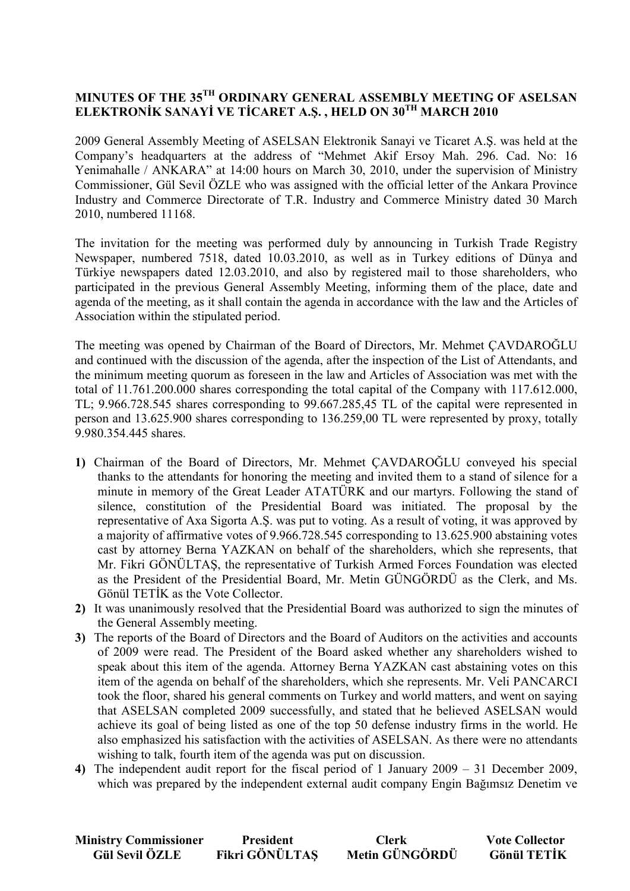## **MINUTES OF THE 35TH ORDINARY GENERAL ASSEMBLY MEETING OF ASELSAN ELEKTRONİK SANAYİ VE TİCARET A.Ş., HELD ON 30<sup>TH</sup> MARCH 2010**

2009 General Assembly Meeting of ASELSAN Elektronik Sanayi ve Ticaret A.Ş. was held at the Company's headquarters at the address of "Mehmet Akif Ersoy Mah. 296. Cad. No: 16 Yenimahalle / ANKARA" at 14:00 hours on March 30, 2010, under the supervision of Ministry Commissioner, Gül Sevil ÖZLE who was assigned with the official letter of the Ankara Province Industry and Commerce Directorate of T.R. Industry and Commerce Ministry dated 30 March 2010, numbered 11168.

The invitation for the meeting was performed duly by announcing in Turkish Trade Registry Newspaper, numbered 7518, dated 10.03.2010, as well as in Turkey editions of Dünya and Türkiye newspapers dated 12.03.2010, and also by registered mail to those shareholders, who participated in the previous General Assembly Meeting, informing them of the place, date and agenda of the meeting, as it shall contain the agenda in accordance with the law and the Articles of Association within the stipulated period.

The meeting was opened by Chairman of the Board of Directors, Mr. Mehmet ÇAVDAROĞLU and continued with the discussion of the agenda, after the inspection of the List of Attendants, and the minimum meeting quorum as foreseen in the law and Articles of Association was met with the total of 11.761.200.000 shares corresponding the total capital of the Company with 117.612.000, TL; 9.966.728.545 shares corresponding to 99.667.285,45 TL of the capital were represented in person and 13.625.900 shares corresponding to 136.259,00 TL were represented by proxy, totally 9.980.354.445 shares.

- **1)** Chairman of the Board of Directors, Mr. Mehmet ÇAVDAROĞLU conveyed his special thanks to the attendants for honoring the meeting and invited them to a stand of silence for a minute in memory of the Great Leader ATATÜRK and our martyrs. Following the stand of silence, constitution of the Presidential Board was initiated. The proposal by the representative of Axa Sigorta A.Ş. was put to voting. As a result of voting, it was approved by a majority of affirmative votes of 9.966.728.545 corresponding to 13.625.900 abstaining votes cast by attorney Berna YAZKAN on behalf of the shareholders, which she represents, that Mr. Fikri GÖNÜLTAŞ, the representative of Turkish Armed Forces Foundation was elected as the President of the Presidential Board, Mr. Metin GÜNGÖRDÜ as the Clerk, and Ms. Gönül TETİK as the Vote Collector.
- **2)** It was unanimously resolved that the Presidential Board was authorized to sign the minutes of the General Assembly meeting.
- **3)** The reports of the Board of Directors and the Board of Auditors on the activities and accounts of 2009 were read. The President of the Board asked whether any shareholders wished to speak about this item of the agenda. Attorney Berna YAZKAN cast abstaining votes on this item of the agenda on behalf of the shareholders, which she represents. Mr. Veli PANCARCI took the floor, shared his general comments on Turkey and world matters, and went on saying that ASELSAN completed 2009 successfully, and stated that he believed ASELSAN would achieve its goal of being listed as one of the top 50 defense industry firms in the world. He also emphasized his satisfaction with the activities of ASELSAN. As there were no attendants wishing to talk, fourth item of the agenda was put on discussion.
- **4)** The independent audit report for the fiscal period of 1 January 2009 31 December 2009, which was prepared by the independent external audit company Engin Bağımsız Denetim ve

| <b>Ministry Commissioner</b> | <b>President</b> | <b>Clerk</b>   | <b>Vote Collector</b> |
|------------------------------|------------------|----------------|-----------------------|
| <b>Gül Sevil ÖZLE</b>        | Fikri GÖNÜLTAS   | Metin GÜNGÖRDÜ | <b>Gönül TETİK</b>    |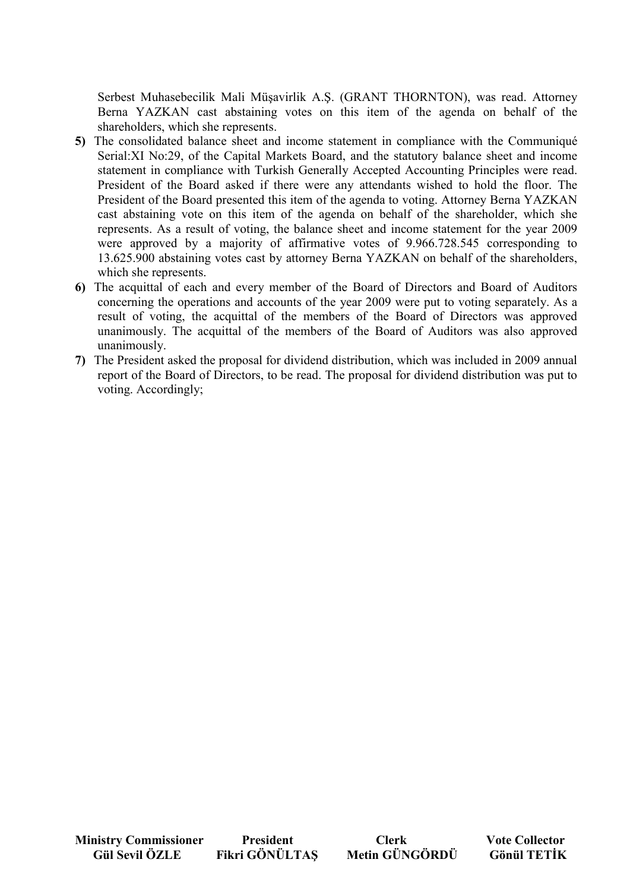Serbest Muhasebecilik Mali Müşavirlik A.Ş. (GRANT THORNTON), was read. Attorney Berna YAZKAN cast abstaining votes on this item of the agenda on behalf of the shareholders, which she represents.

- **5)** The consolidated balance sheet and income statement in compliance with the Communiqué Serial:XI No:29, of the Capital Markets Board, and the statutory balance sheet and income statement in compliance with Turkish Generally Accepted Accounting Principles were read. President of the Board asked if there were any attendants wished to hold the floor. The President of the Board presented this item of the agenda to voting. Attorney Berna YAZKAN cast abstaining vote on this item of the agenda on behalf of the shareholder, which she represents. As a result of voting, the balance sheet and income statement for the year 2009 were approved by a majority of affirmative votes of 9.966.728.545 corresponding to 13.625.900 abstaining votes cast by attorney Berna YAZKAN on behalf of the shareholders, which she represents.
- **6)** The acquittal of each and every member of the Board of Directors and Board of Auditors concerning the operations and accounts of the year 2009 were put to voting separately. As a result of voting, the acquittal of the members of the Board of Directors was approved unanimously. The acquittal of the members of the Board of Auditors was also approved unanimously.
- **7)** The President asked the proposal for dividend distribution, which was included in 2009 annual report of the Board of Directors, to be read. The proposal for dividend distribution was put to voting. Accordingly;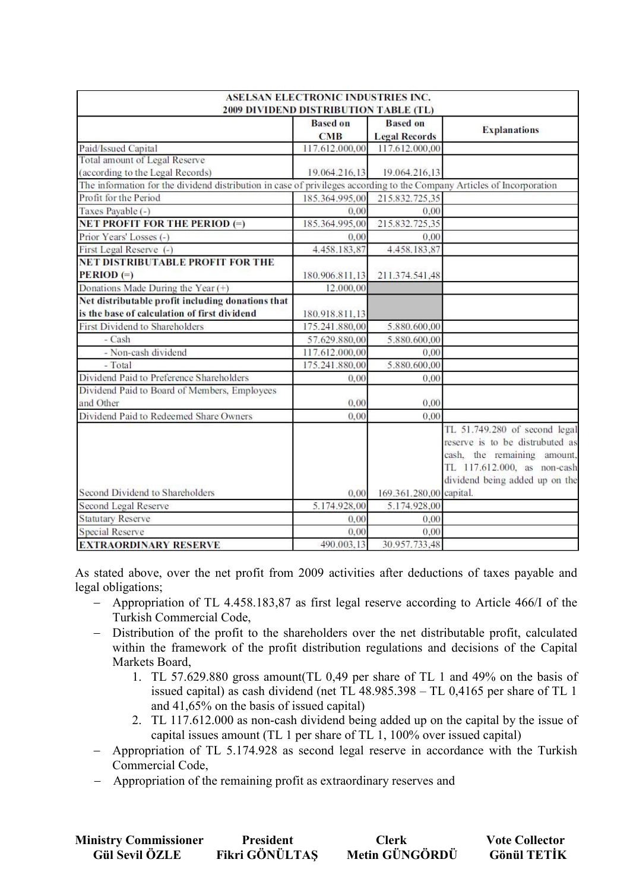| <b>ASELSAN ELECTRONIC INDUSTRIES INC.</b><br>2009 DIVIDEND DISTRIBUTION TABLE (TL)                                     |                               |                                        |                                                                                                                                                                  |  |  |  |
|------------------------------------------------------------------------------------------------------------------------|-------------------------------|----------------------------------------|------------------------------------------------------------------------------------------------------------------------------------------------------------------|--|--|--|
|                                                                                                                        | <b>Based on</b><br><b>CMB</b> | <b>Based on</b>                        | <b>Explanations</b>                                                                                                                                              |  |  |  |
| Paid/Issued Capital                                                                                                    | 117.612.000,00                | <b>Legal Records</b><br>117.612.000,00 |                                                                                                                                                                  |  |  |  |
| Total amount of Legal Reserve                                                                                          |                               |                                        |                                                                                                                                                                  |  |  |  |
| (according to the Legal Records)                                                                                       | 19.064.216.13                 | 19.064.216,13                          |                                                                                                                                                                  |  |  |  |
| The information for the dividend distribution in case of privileges according to the Company Articles of Incorporation |                               |                                        |                                                                                                                                                                  |  |  |  |
| Profit for the Period                                                                                                  | 185.364.995,00                | 215.832.725.35                         |                                                                                                                                                                  |  |  |  |
| Taxes Payable (-)                                                                                                      | 0.00                          | 0.00                                   |                                                                                                                                                                  |  |  |  |
| <b>NET PROFIT FOR THE PERIOD (=)</b>                                                                                   | 185.364.995,00                | 215.832.725,35                         |                                                                                                                                                                  |  |  |  |
| Prior Years' Losses (-)                                                                                                | 0.00                          | 0.00                                   |                                                                                                                                                                  |  |  |  |
| First Legal Reserve (-)                                                                                                | 4.458.183.87                  | 4.458.183.87                           |                                                                                                                                                                  |  |  |  |
| NET DISTRIBUTABLE PROFIT FOR THE                                                                                       |                               |                                        |                                                                                                                                                                  |  |  |  |
| $PERIOD (=)$                                                                                                           | 180.906.811,13                | 211.374.541,48                         |                                                                                                                                                                  |  |  |  |
| Donations Made During the Year (+)                                                                                     | 12.000,00                     |                                        |                                                                                                                                                                  |  |  |  |
| Net distributable profit including donations that                                                                      |                               |                                        |                                                                                                                                                                  |  |  |  |
| is the base of calculation of first dividend                                                                           | 180.918.811,13                |                                        |                                                                                                                                                                  |  |  |  |
| First Dividend to Shareholders                                                                                         | 175.241.880,00                | 5.880.600,00                           |                                                                                                                                                                  |  |  |  |
| $-Cash$                                                                                                                | 57.629.880,00                 | 5.880.600,00                           |                                                                                                                                                                  |  |  |  |
| - Non-cash dividend                                                                                                    | 117.612.000,00                | 0.00                                   |                                                                                                                                                                  |  |  |  |
| - Total                                                                                                                | 175.241.880,00                | 5.880.600,00                           |                                                                                                                                                                  |  |  |  |
| Dividend Paid to Preference Shareholders                                                                               | 0.00                          | 0.00                                   |                                                                                                                                                                  |  |  |  |
| Dividend Paid to Board of Members, Employees                                                                           |                               |                                        |                                                                                                                                                                  |  |  |  |
| and Other                                                                                                              | 0.00                          | 0.00                                   |                                                                                                                                                                  |  |  |  |
| Dividend Paid to Redeemed Share Owners                                                                                 | 0.00                          | 0.00                                   |                                                                                                                                                                  |  |  |  |
|                                                                                                                        |                               |                                        | TL 51.749.280 of second legal<br>reserve is to be distrubuted as<br>cash, the remaining amount,<br>TL 117.612.000, as non-cash<br>dividend being added up on the |  |  |  |
| Second Dividend to Shareholders                                                                                        | 0,00                          | 169.361.280,00 capital.                |                                                                                                                                                                  |  |  |  |
| Second Legal Reserve                                                                                                   | 5.174.928.00                  | 5.174.928,00                           |                                                                                                                                                                  |  |  |  |
| <b>Statutary Reserve</b>                                                                                               | 0.00                          | 0,00                                   |                                                                                                                                                                  |  |  |  |
| <b>Special Reserve</b>                                                                                                 | 0,00                          | 0,00                                   |                                                                                                                                                                  |  |  |  |
| <b>EXTRAORDINARY RESERVE</b>                                                                                           | 490.003,13                    | 30.957.733,48                          |                                                                                                                                                                  |  |  |  |

As stated above, over the net profit from 2009 activities after deductions of taxes payable and legal obligations;

- − Appropriation of TL 4.458.183,87 as first legal reserve according to Article 466/I of the Turkish Commercial Code,
- − Distribution of the profit to the shareholders over the net distributable profit, calculated within the framework of the profit distribution regulations and decisions of the Capital Markets Board,
	- 1. TL 57.629.880 gross amount(TL 0,49 per share of TL 1 and 49% on the basis of issued capital) as cash dividend (net TL 48.985.398 – TL 0,4165 per share of TL 1 and 41,65% on the basis of issued capital)
	- 2. TL 117.612.000 as non-cash dividend being added up on the capital by the issue of capital issues amount (TL 1 per share of TL 1, 100% over issued capital)
- − Appropriation of TL 5.174.928 as second legal reserve in accordance with the Turkish Commercial Code,
- − Appropriation of the remaining profit as extraordinary reserves and

| <b>Ministry Commissioner</b> | President      | Clerk          | <b>Vote Collector</b> |
|------------------------------|----------------|----------------|-----------------------|
| <b>Gül Sevil ÖZLE</b>        | Fikri GÖNÜLTAS | Metin GÜNGÖRDÜ | <b>Gönül TETİK</b>    |